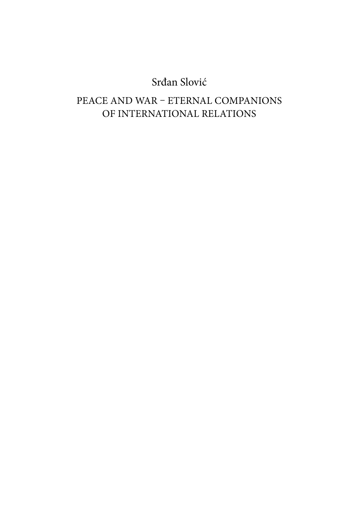### Srđan Slović

### Peace and War – Eternal Companions of International Relations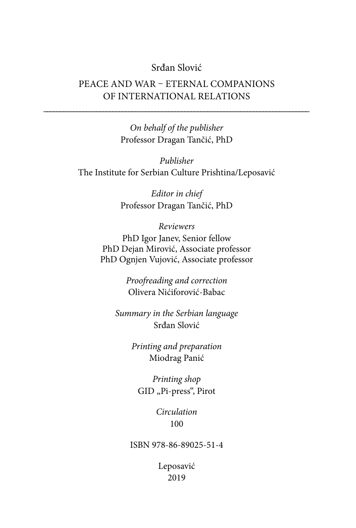#### Srđan Slović

#### Peace and War – Eternal Companions of International Relations

–––––––––––––––––––––––––––––––––––––––––––––––––––––––––––––––––––––––––––––––––

*On behalf of the publisher* Professor Dragan Tančić, PhD

*Publisher* The Institute for Serbian Culture Prishtina/Leposavić

> *Editor in chief* Professor Dragan Tančić, PhD

*Reviewers* PhD Igor Janev, Senior fellow PhD Dejan Mirović, Associate professor PhD Ognjen Vujović, Associate professor

> *Proofreading and correction* Olivera Nićiforović-Babac

*Summary in the Serbian language* Srđan Slović

> *Printing and preparation* Miodrag Panić

*Printing shop*  GID "Pi-press", Pirot

> *Circulation* 100

ISBN 978-86-89025-51-4

Leposavić 2019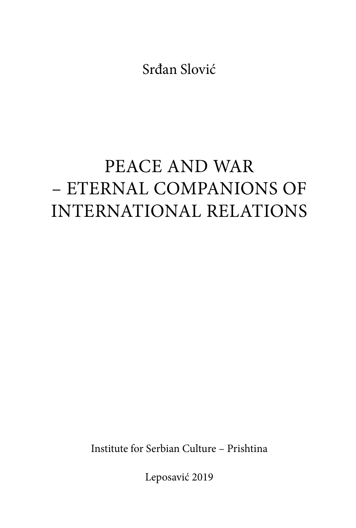Srđan Slović

# PEACE AND WAR – ETERNAL COMPANIONS OF INTERNATIONAL RELATIONS

Institute for Serbian Culture – Prishtina

Leposavić 2019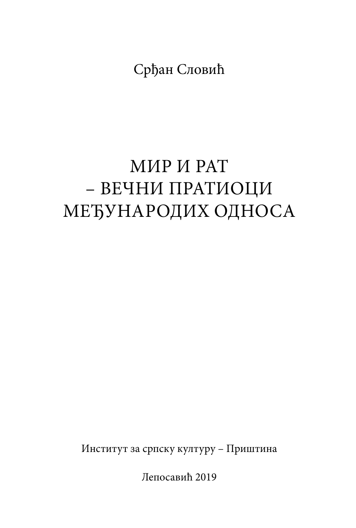Срђан Словић

# МИР И РАТ – ВЕЧНИ ПРАТИОЦИ МЕЂУНАРОДИХ ОДНОСА

Институт за српску културу – Приштина

Лепосавић 2019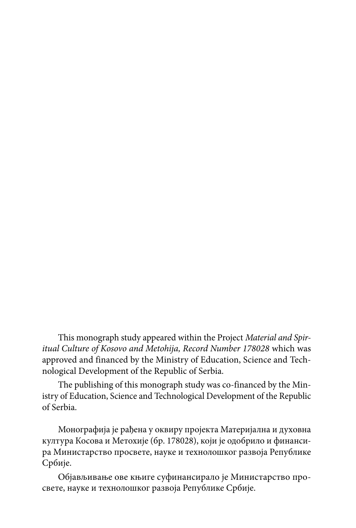This monograph study appeared within the Project *Material and Spiritual Culture of Kosovo and Metohija, Record Number 178028* which was approved and financed by the Ministry of Education, Science and Technological Development of the Republic of Serbia.

The publishing of this monograph study was co-financed by the Ministry of Education, Science and Technological Development of the Republic of Serbia.

Монографија је рађена у оквиру пројекта Материјална и духовна култура Косова и Метохије (бр. 178028), који је одобрило и финансира Министарство просвете, науке и технолошког развоја Републике Србије.

Објављивање ове књиге суфинансирало је Министарство просвете, науке и технолошког развоја Републике Србије.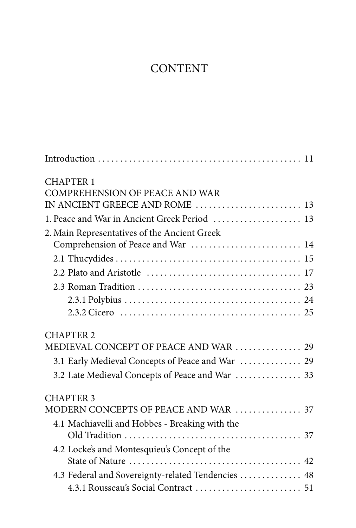## **CONTENT**

| <b>CHAPTER 1</b>                                                                   |
|------------------------------------------------------------------------------------|
| COMPREHENSION OF PEACE AND WAR<br>IN ANCIENT GREECE AND ROME  13                   |
| 1. Peace and War in Ancient Greek Period  13                                       |
|                                                                                    |
| 2. Main Representatives of the Ancient Greek<br>Comprehension of Peace and War  14 |
|                                                                                    |
|                                                                                    |
|                                                                                    |
|                                                                                    |
|                                                                                    |
| <b>CHAPTER 2</b>                                                                   |
| MEDIEVAL CONCEPT OF PEACE AND WAR  29                                              |
| 3.1 Early Medieval Concepts of Peace and War  29                                   |
| 3.2 Late Medieval Concepts of Peace and War  33                                    |
| <b>CHAPTER 3</b>                                                                   |
| MODERN CONCEPTS OF PEACE AND WAR  37                                               |
| 4.1 Machiavelli and Hobbes - Breaking with the                                     |
| 4.2 Locke's and Montesquieu's Concept of the                                       |
|                                                                                    |
| 4.3 Federal and Sovereignty-related Tendencies  48                                 |
|                                                                                    |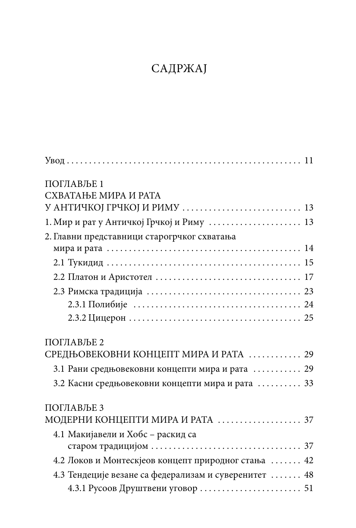## САДРЖАЈ

| ПОГЛАВЉЕ 1<br>СХВАТАЊЕ МИРА И РАТА                    |
|-------------------------------------------------------|
|                                                       |
| 2. Главни представници старогрчког схватања           |
|                                                       |
|                                                       |
|                                                       |
|                                                       |
|                                                       |
| ПОГЛАВЉЕ 2                                            |
| СРЕДЊОВЕКОВНИ КОНЦЕПТ МИРА И РАТА  29                 |
| 3.1 Рани средњовековни концепти мира и рата  29       |
| 3.2 Касни средњовековни концепти мира и рата  33      |
| ПОГЛАВЉЕЗ                                             |
| МОДЕРНИ КОНЦЕПТИ МИРА И РАТА  37                      |
| 4.1 Макијавели и Хобс - раскид са                     |
| 4.2 Локов и Монтескјеов концепт природног стања  42   |
| 4.3 Тендеције везане са федерализам и суверенитет  48 |
| 4.3.1 Русоов Друштвени уговор  51                     |
|                                                       |